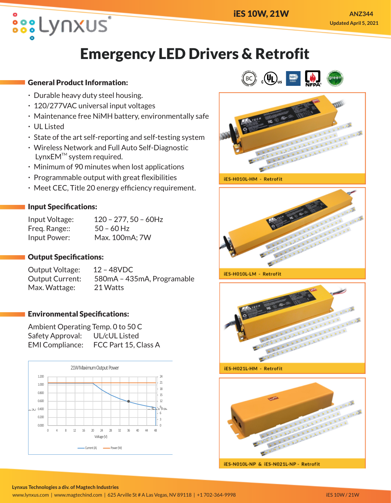

# **Emergency LED Drivers & Retrofit**

## General Product Information:

- · Durable heavy duty steel housing.
- · 120/277VAC universal input voltages
- · Maintenance free NiMH battery, environmentally safe
- · UL Listed
- · State of the art self-reporting and self-testing system
- · Wireless Network and Full Auto Self-Diagnostic  $LynxEM<sup>™</sup> system required.$
- · Minimum of 90 minutes when lost applications
- · Programmable output with great flexibilities
- · Meet CEC, Title 20 energy efficiency requirement.

## Input Specifications:

| Input Voltage: | $120 - 277, 50 - 60$ Hz |
|----------------|-------------------------|
| Freg. Range::  | $50 - 60$ Hz            |
| Input Power:   | Max. 100mA; 7W          |

## Output Specifications:

Output Voltage: 12 – 48VDC Output Current: 580mA – 435mA, Programable Max. Wattage: 21 Watts

### Environmental Specifications:

Ambient Operating Temp. 0 to 50 C Safety Approval: UL/cUL Listed EMI Compliance: FCC Part 15, Class A







iES-H010L-HM - Retrofit



iES-H010L-LM - Retrofit





IES-N010L-NP & IES-N021L-NP - Retrofit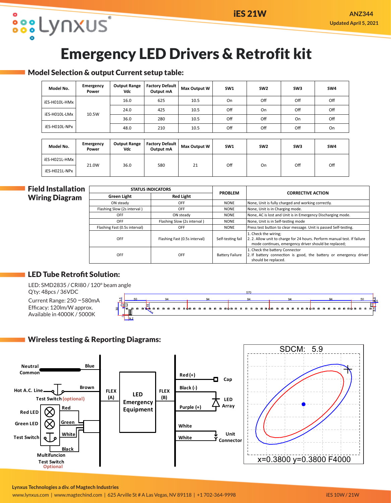# **Emergency LED Drivers & Retrofit kit**

### Model Selection & output Current setup table:

| Model No.                               | Emergency<br>Power | <b>Output Range</b><br>Vdc | <b>Factory Default</b><br>Output mA | Max Output W | SW <sub>1</sub> | SW <sub>2</sub> | SW <sub>3</sub> | SW4 |
|-----------------------------------------|--------------------|----------------------------|-------------------------------------|--------------|-----------------|-----------------|-----------------|-----|
| iES-H010L-HMx                           |                    | 16.0                       | 625                                 | 10.5         | On              | Off             | Off             | Off |
| iES-H010L-LMx<br>10.5W<br>iES-H010L-NPx |                    | 24.0                       | 425                                 | 10.5         | Off             | On              | Off             | Off |
|                                         |                    | 36.0                       | 280                                 | 10.5         | Off             | Off             | On              | Off |
|                                         |                    | 48.0                       | 210                                 | 10.5         | Off             | Off             | Off             | On  |
|                                         |                    |                            |                                     |              |                 |                 |                 |     |
|                                         |                    | - - -                      | - - -<br>$ -$                       |              |                 |                 |                 |     |

| Model No.       | Emergency<br>Power | <b>Output Range</b><br>Vdc | <b>Factory Default</b><br>Output mA | <b>Max Output W</b> | SW1 | SW <sub>2</sub> | SW <sub>3</sub> | SW4 |
|-----------------|--------------------|----------------------------|-------------------------------------|---------------------|-----|-----------------|-----------------|-----|
| l iES-H021L-HMx | 21.0W              | 36.0                       | 580                                 | 21                  | Off | On              | Off             | Off |
| iES-H021L-NPx   |                    |                            |                                     |                     |     |                 |                 |     |

### Field Installation Wiring Diagram

**OSSELYNXUS** 

| <b>STATUS INDICATORS</b>      |                               | <b>PROBLEM</b>         | <b>CORRECTIVE ACTION</b>                                                                                                                                 |  |  |
|-------------------------------|-------------------------------|------------------------|----------------------------------------------------------------------------------------------------------------------------------------------------------|--|--|
| <b>Green Light</b>            | <b>Red Light</b>              |                        |                                                                                                                                                          |  |  |
| ON steady                     | OFF                           | <b>NONE</b>            | None, Unit is fully charged and working correctly.                                                                                                       |  |  |
| Flashing Slow (2s interval)   | <b>OFF</b>                    | <b>NONE</b>            | None, Unit is in Charging mode.                                                                                                                          |  |  |
| <b>OFF</b>                    | ON steady                     | <b>NONE</b>            | None, AC is lost and Unit is in Emergency Discharging mode.                                                                                              |  |  |
| <b>OFF</b>                    | Flashing Slow (2s interval)   | <b>NONE</b>            | None, Unit is in Self-testing mode                                                                                                                       |  |  |
| Flashing Fast (0.5s interval) | <b>OFF</b>                    | <b>NONE</b>            | Press test button to clear message. Unit is passed Self-testing.                                                                                         |  |  |
| OFF                           | Flashing Fast (0.5s interval) | Self-testing fail      | 1. Check the wiring:<br>2. 2. Allow unit to charge for 24 hours. Perform manual test. If failure<br>mode continues, emergency driver should be replaced; |  |  |
| OFF                           | <b>OFF</b>                    | <b>Battery Failure</b> | 1. Check the battery Connector<br>2. If battery connection is good, the battery or emergency driver<br>should be replaced.                               |  |  |

## LED Tube Retrofit Solution:

LED: SMD2835 / CRI80 / 120° beam angle Q'ty: 48pcs / 36VDC

Current Range: 250 –580mA Efficacy: 120lm/W approx. Available in 4000K / 5000K



## Wireless testing & Reporting Diagrams: